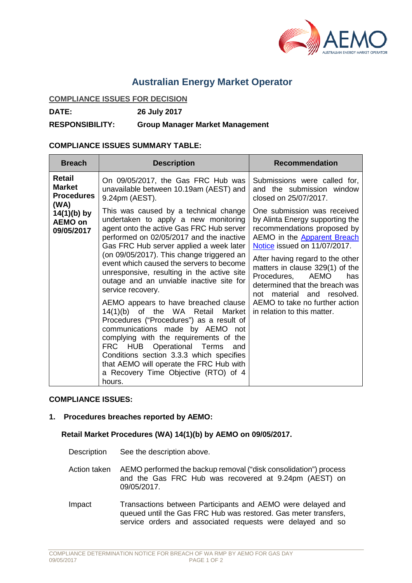

# **Australian Energy Market Operator**

# **COMPLIANCE ISSUES FOR DECISION**

**DATE: 26 July 2017**

#### **RESPONSIBILITY: Group Manager Market Management**

### **COMPLIANCE ISSUES SUMMARY TABLE:**

| <b>Breach</b>                                         | <b>Description</b>                                                                                                                                                                                                                                                                                                                                                                                                                                                                                                                                                                                                                                                                                                                                                                                         | <b>Recommendation</b>                                                                                                                                                                                                                                                                                                                                                                                 |
|-------------------------------------------------------|------------------------------------------------------------------------------------------------------------------------------------------------------------------------------------------------------------------------------------------------------------------------------------------------------------------------------------------------------------------------------------------------------------------------------------------------------------------------------------------------------------------------------------------------------------------------------------------------------------------------------------------------------------------------------------------------------------------------------------------------------------------------------------------------------------|-------------------------------------------------------------------------------------------------------------------------------------------------------------------------------------------------------------------------------------------------------------------------------------------------------------------------------------------------------------------------------------------------------|
| Retail<br><b>Market</b><br><b>Procedures</b>          | On 09/05/2017, the Gas FRC Hub was<br>unavailable between 10.19am (AEST) and<br>9.24pm (AEST).                                                                                                                                                                                                                                                                                                                                                                                                                                                                                                                                                                                                                                                                                                             | Submissions were called for,<br>and the submission window<br>closed on 25/07/2017.                                                                                                                                                                                                                                                                                                                    |
| (WA)<br>$14(1)(b)$ by<br><b>AEMO on</b><br>09/05/2017 | This was caused by a technical change<br>undertaken to apply a new monitoring<br>agent onto the active Gas FRC Hub server<br>performed on 02/05/2017 and the inactive<br>Gas FRC Hub server applied a week later<br>(on 09/05/2017). This change triggered an<br>event which caused the servers to become<br>unresponsive, resulting in the active site<br>outage and an unviable inactive site for<br>service recovery.<br>AEMO appears to have breached clause<br>14(1)(b) of the WA Retail Market<br>Procedures ("Procedures") as a result of<br>communications made by AEMO not<br>complying with the requirements of the<br>FRC HUB Operational Terms<br>and<br>Conditions section 3.3.3 which specifies<br>that AEMO will operate the FRC Hub with<br>a Recovery Time Objective (RTO) of 4<br>hours. | One submission was received<br>by Alinta Energy supporting the<br>recommendations proposed by<br>AEMO in the Apparent Breach<br>Notice issued on 11/07/2017.<br>After having regard to the other<br>matters in clause 329(1) of the<br>AEMO<br>Procedures,<br>has<br>determined that the breach was<br>material and resolved.<br>not<br>AEMO to take no further action<br>in relation to this matter. |

# **COMPLIANCE ISSUES:**

#### **1. Procedures breaches reported by AEMO:**

# **Retail Market Procedures (WA) 14(1)(b) by AEMO on 09/05/2017.**

- Description See the description above.
- Action taken AEMO performed the backup removal ("disk consolidation") process and the Gas FRC Hub was recovered at 9.24pm (AEST) on 09/05/2017.
- Impact Transactions between Participants and AEMO were delayed and queued until the Gas FRC Hub was restored. Gas meter transfers, service orders and associated requests were delayed and so